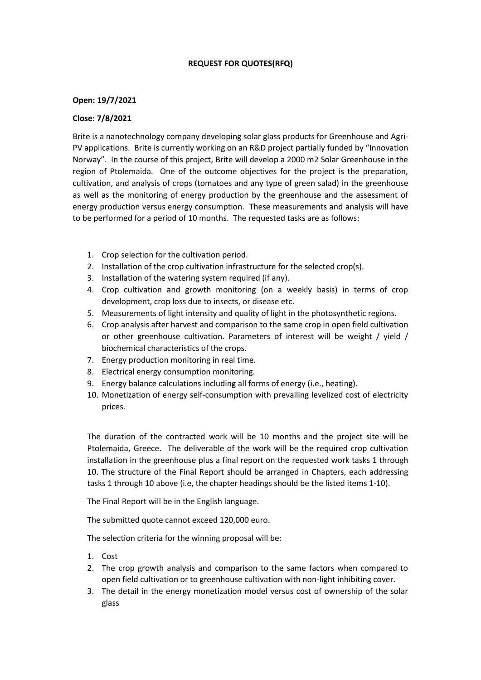## **REQUEST FOR QUOTES(RFQ)**

## **Open: 19/7/2021**

## **Close: 7/8/2021**

Brite is a nanotechnology company developing solar glass products for Greenhouse and Agri-PV applications. Brite is currently working on an R&D project partially funded by "Innovation Norway". In the course of this project, Brite will develop a 2000 m2 Solar Greenhouse in the region of Ptolemaida. One of the outcome objectives for the project is the preparation, cultivation, and analysis of crops (tomatoes and any type of green salad) in the greenhouse as well as the monitoring of energy production by the greenhouse and the assessment of energy production versus energy consumption. These measurements and analysis will have to be performed for a period of 10 months. The requested tasks are as follows:

- 1. Crop selection for the cultivation period.
- 2. Installation of the crop cultivation infrastructure for the selected crop(s).
- 3. Installation of the watering system required (if any).
- 4. Crop cultivation and growth monitoring (on a weekly basis) in terms of crop development, crop loss due to insects, or disease etc.
- 5. Measurements of light intensity and quality of light in the photosynthetic regions.
- 6. Crop analysis after harvest and comparison to the same crop in open field cultivation or other greenhouse cultivation. Parameters of interest will be weight / yield / biochemical characteristics of the crops.
- 7. Energy production monitoring in real time.
- 8. Electrical energy consumption monitoring.
- 9. Energy balance calculations including all forms of energy (i.e., heating).
- 10. Monetization of energy self-consumption with prevailing levelized cost of electricity prices.

The duration of the contracted work will be 10 months and the project site will be Ptolemaida, Greece. The deliverable of the work will be the required crop cultivation installation in the greenhouse plus a final report on the requested work tasks 1 through 10. The structure of the Final Report should be arranged in Chapters, each addressing tasks 1 through 10 above (i.e, the chapter headings should be the listed items 1-10).

The Final Report will be in the English language.

The submitted quote cannot exceed 120,000 euro.

The selection criteria for the winning proposal will be:

- 1. Cost
- 2. The crop growth analysis and comparison to the same factors when compared to open field cultivation or to greenhouse cultivation with non-light inhibiting cover.
- 3. The detail in the energy monetization model versus cost of ownership of the solar glass